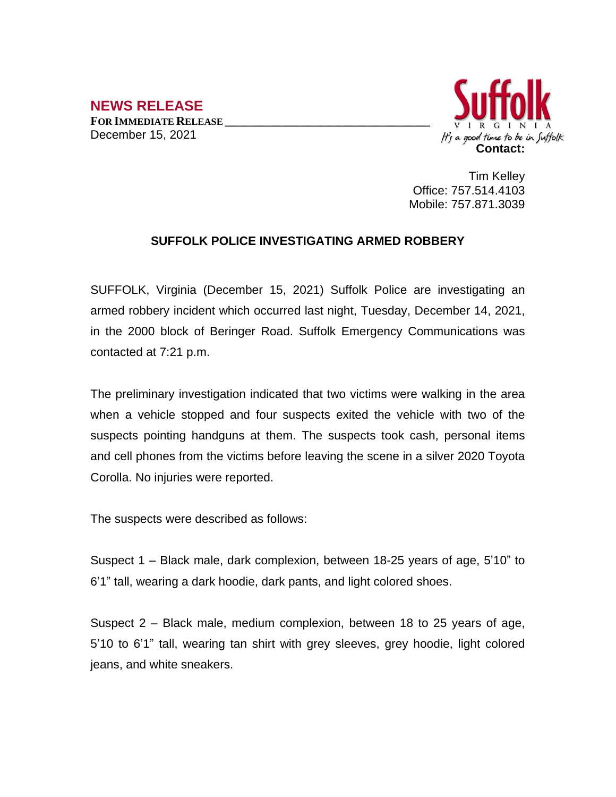## **NEWS RELEASE FOR IMMEDIATE RELEASE \_\_\_\_\_\_\_\_\_\_\_\_\_\_\_\_\_\_\_\_\_\_\_\_\_\_\_\_\_\_\_\_\_\_** December 15, 2021



Tim Kelley Office: 757.514.4103 Mobile: 757.871.3039

## **SUFFOLK POLICE INVESTIGATING ARMED ROBBERY**

SUFFOLK, Virginia (December 15, 2021) Suffolk Police are investigating an armed robbery incident which occurred last night, Tuesday, December 14, 2021, in the 2000 block of Beringer Road. Suffolk Emergency Communications was contacted at 7:21 p.m.

The preliminary investigation indicated that two victims were walking in the area when a vehicle stopped and four suspects exited the vehicle with two of the suspects pointing handguns at them. The suspects took cash, personal items and cell phones from the victims before leaving the scene in a silver 2020 Toyota Corolla. No injuries were reported.

The suspects were described as follows:

Suspect 1 – Black male, dark complexion, between 18-25 years of age, 5'10" to 6'1" tall, wearing a dark hoodie, dark pants, and light colored shoes.

Suspect 2 – Black male, medium complexion, between 18 to 25 years of age, 5'10 to 6'1" tall, wearing tan shirt with grey sleeves, grey hoodie, light colored jeans, and white sneakers.